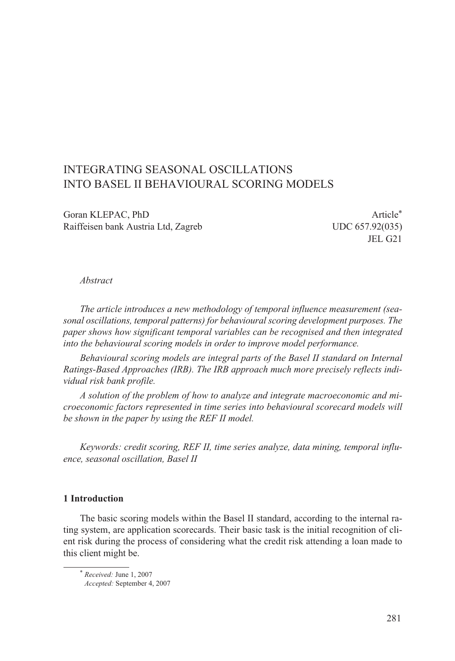# INTEGRATING SEASONAL OSCILLATIONS INTO BASEL II BEHAVIOURAL SCORING MODELS

Goran KLEPAC, PhD **Article**\* Raiffeisen bank Austria Ltd, Zagreb UDC 657.92(035)

JEL G21

#### *Abstract*

*The article introduces a new methodology of temporal influence measurement (seasonal oscillations, temporal patterns) for behavioural scoring development purposes. The paper shows how significant temporal variables can be recognised and then integrated into the behavioural scoring models in order to improve model performance.*

*Behavioural scoring models are integral parts of the Basel II standard on Internal Ratings-Based Approaches (IRB). The IRB approach much more precisely reflects individual risk bank profile.*

*A solution of the problem of how to analyze and integrate macroeconomic and microeconomic factors represented in time series into behavioural scorecard models will be shown in the paper by using the REF II model.*

*Keywords: credit scoring, REF II, time series analyze, data mining, temporal influence, seasonal oscillation, Basel II* 

#### **1 Introduction**

The basic scoring models within the Basel II standard, according to the internal rating system, are application scorecards. Their basic task is the initial recognition of client risk during the process of considering what the credit risk attending a loan made to this client might be.

<sup>\*</sup> *Received:* June 1, 2007 *Accepted:* September 4, 2007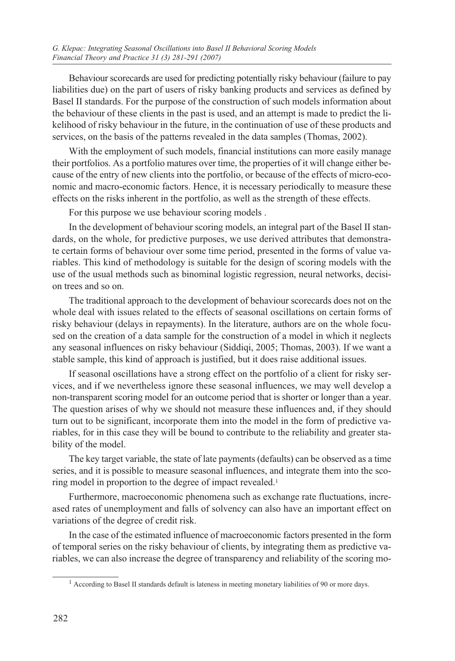Behaviour scorecards are used for predicting potentially risky behaviour (failure to pay liabilities due) on the part of users of risky banking products and services as defined by Basel II standards. For the purpose of the construction of such models information about the behaviour of these clients in the past is used, and an attempt is made to predict the likelihood of risky behaviour in the future, in the continuation of use of these products and services, on the basis of the patterns revealed in the data samples (Thomas, 2002).

With the employment of such models, financial institutions can more easily manage their portfolios. As a portfolio matures over time, the properties of it will change either because of the entry of new clients into the portfolio, or because of the effects of micro-economic and macro-economic factors. Hence, it is necessary periodically to measure these effects on the risks inherent in the portfolio, as well as the strength of these effects.

For this purpose we use behaviour scoring models .

In the development of behaviour scoring models, an integral part of the Basel II standards, on the whole, for predictive purposes, we use derived attributes that demonstrate certain forms of behaviour over some time period, presented in the forms of value variables. This kind of methodology is suitable for the design of scoring models with the use of the usual methods such as binominal logistic regression, neural networks, decision trees and so on.

The traditional approach to the development of behaviour scorecards does not on the whole deal with issues related to the effects of seasonal oscillations on certain forms of risky behaviour (delays in repayments). In the literature, authors are on the whole focused on the creation of a data sample for the construction of a model in which it neglects any seasonal influences on risky behaviour (Siddiqi, 2005; Thomas, 2003). If we want a stable sample, this kind of approach is justified, but it does raise additional issues.

If seasonal oscillations have a strong effect on the portfolio of a client for risky services, and if we nevertheless ignore these seasonal influences, we may well develop a non-transparent scoring model for an outcome period that is shorter or longer than a year. The question arises of why we should not measure these influences and, if they should turn out to be significant, incorporate them into the model in the form of predictive variables, for in this case they will be bound to contribute to the reliability and greater stability of the model.

The key target variable, the state of late payments (defaults) can be observed as a time series, and it is possible to measure seasonal influences, and integrate them into the scoring model in proportion to the degree of impact revealed.1

Furthermore, macroeconomic phenomena such as exchange rate fluctuations, increased rates of unemployment and falls of solvency can also have an important effect on variations of the degree of credit risk.

In the case of the estimated influence of macroeconomic factors presented in the form of temporal series on the risky behaviour of clients, by integrating them as predictive variables, we can also increase the degree of transparency and reliability of the scoring mo-

<sup>&</sup>lt;sup>1</sup> According to Basel II standards default is lateness in meeting monetary liabilities of 90 or more days.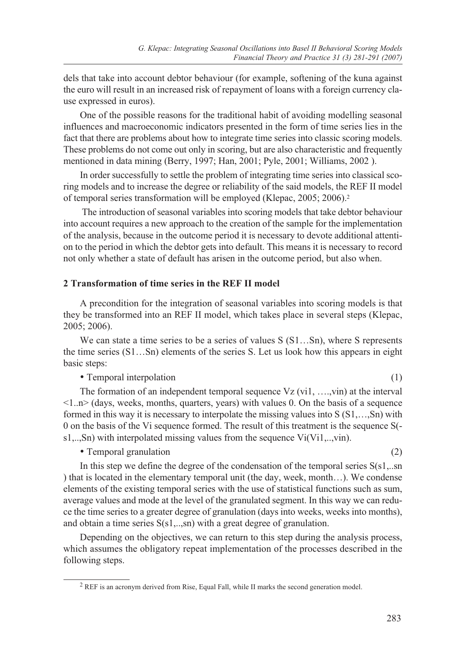dels that take into account debtor behaviour (for example, softening of the kuna against the euro will result in an increased risk of repayment of loans with a foreign currency clause expressed in euros).

One of the possible reasons for the traditional habit of avoiding modelling seasonal influences and macroeconomic indicators presented in the form of time series lies in the fact that there are problems about how to integrate time series into classic scoring models. These problems do not come out only in scoring, but are also characteristic and frequently mentioned in data mining (Berry, 1997; Han, 2001; Pyle, 2001; Williams, 2002 ).

In order successfully to settle the problem of integrating time series into classical scoring models and to increase the degree or reliability of the said models, the REF II model of temporal series transformation will be employed (Klepac, 2005; 2006).2

 The introduction of seasonal variables into scoring models that take debtor behaviour into account requires a new approach to the creation of the sample for the implementation of the analysis, because in the outcome period it is necessary to devote additional attention to the period in which the debtor gets into default. This means it is necessary to record not only whether a state of default has arisen in the outcome period, but also when.

# **2 Transformation of time series in the REF II model**

A precondition for the integration of seasonal variables into scoring models is that they be transformed into an REF II model, which takes place in several steps (Klepac, 2005; 2006).

We can state a time series to be a series of values S (S1...Sn), where S represents the time series (S1…Sn) elements of the series S. Let us look how this appears in eight basic steps:

### • Temporal interpolation (1)

The formation of an independent temporal sequence Vz (vi1, ….,vin) at the interval <1..n> (days, weeks, months, quarters, years) with values 0. On the basis of a sequence formed in this way it is necessary to interpolate the missing values into  $S(S1,...,Sn)$  with 0 on the basis of the Vi sequence formed. The result of this treatment is the sequence S( s1,..,Sn) with interpolated missing values from the sequence Vi(Vi1,..,vin).

• Temporal granulation (2)

In this step we define the degree of the condensation of the temporal series  $S(s1, \ldots sn)$ ) that is located in the elementary temporal unit (the day, week, month…). We condense elements of the existing temporal series with the use of statistical functions such as sum, average values and mode at the level of the granulated segment. In this way we can reduce the time series to a greater degree of granulation (days into weeks, weeks into months), and obtain a time series S(s1,..,sn) with a great degree of granulation.

Depending on the objectives, we can return to this step during the analysis process, which assumes the obligatory repeat implementation of the processes described in the following steps.

<sup>&</sup>lt;sup>2</sup> REF is an acronym derived from Rise, Equal Fall, while II marks the second generation model.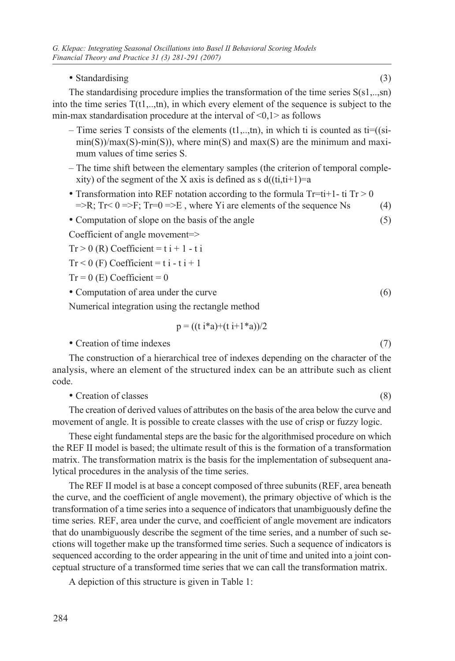#### • Standardising (3)

The standardising procedure implies the transformation of the time series S(s1,..,sn) into the time series  $T(t_1, \ldots, t_n)$ , in which every element of the sequence is subject to the min-max standardisation procedure at the interval of  $\leq 0.1$  as follows

- Time series T consists of the elements (t1,..,tn), in which ti is counted as ti=((si $min(S)/max(S)$ -min(S)), where  $min(S)$  and  $max(S)$  are the minimum and maximum values of time series S.
- The time shift between the elementary samples (the criterion of temporal complexity) of the segment of the X axis is defined as  $s \, d((ti,ti+1)=a$
- Transformation into REF notation according to the formula  $Tr=ti+1-ti$  Tr  $> 0$  $\Rightarrow R$ ; Tr< 0  $\Rightarrow$ F; Tr=0  $\Rightarrow$ E, where Yi are elements of the sequence Ns (4)
- Computation of slope on the basis of the angle (5)

Coefficient of angle movement=>

 $Tr > 0$  (R) Coefficient = t i + 1 - t i

$$
Tr \le 0 \text{ (F) Coefficient} = t i - t i + 1
$$

 $Tr = 0$  (E) Coefficient = 0

• Computation of area under the curve (6)

Numerical integration using the rectangle method

$$
p = ((t i^* a) + (t i + 1^* a))/2
$$

• Creation of time indexes (7)

The construction of a hierarchical tree of indexes depending on the character of the analysis, where an element of the structured index can be an attribute such as client code.

```
• Creation of classes (8)
```
The creation of derived values of attributes on the basis of the area below the curve and movement of angle. It is possible to create classes with the use of crisp or fuzzy logic.

These eight fundamental steps are the basic for the algorithmised procedure on which the REF II model is based; the ultimate result of this is the formation of a transformation matrix. The transformation matrix is the basis for the implementation of subsequent analytical procedures in the analysis of the time series.

The REF II model is at base a concept composed of three subunits (REF, area beneath the curve, and the coefficient of angle movement), the primary objective of which is the transformation of a time series into a sequence of indicators that unambiguously define the time series. REF, area under the curve, and coefficient of angle movement are indicators that do unambiguously describe the segment of the time series, and a number of such sections will together make up the transformed time series. Such a sequence of indicators is sequenced according to the order appearing in the unit of time and united into a joint conceptual structure of a transformed time series that we can call the transformation matrix.

A depiction of this structure is given in Table 1: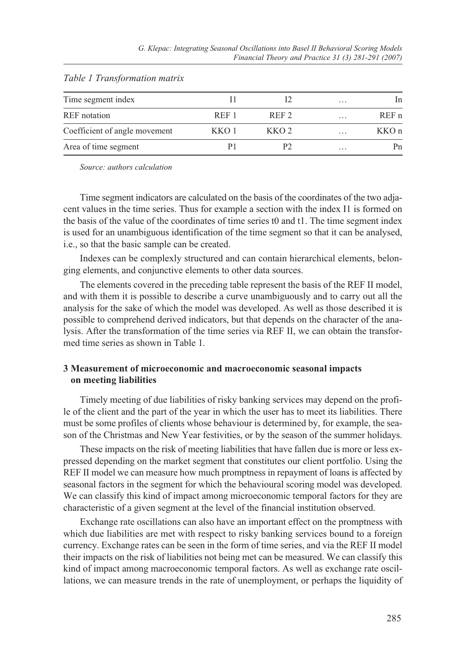| Time segment index            |         |                  |         | In               |
|-------------------------------|---------|------------------|---------|------------------|
| <b>REF</b> notation           | $REF$ 1 | REF <sub>2</sub> | $\cdot$ | REF <sub>n</sub> |
|                               |         |                  | .       |                  |
| Coefficient of angle movement | KKO 1   | KKO <sub>2</sub> | .       | KKO <sub>n</sub> |
| Area of time segment          |         | р2               | $\cdot$ | Pn               |

#### *Table 1 Transformation matrix*

*Source: authors calculation*

Time segment indicators are calculated on the basis of the coordinates of the two adjacent values in the time series. Thus for example a section with the index I1 is formed on the basis of the value of the coordinates of time series t0 and t1. The time segment index is used for an unambiguous identification of the time segment so that it can be analysed, i.e., so that the basic sample can be created.

Indexes can be complexly structured and can contain hierarchical elements, belonging elements, and conjunctive elements to other data sources.

The elements covered in the preceding table represent the basis of the REF II model, and with them it is possible to describe a curve unambiguously and to carry out all the analysis for the sake of which the model was developed. As well as those described it is possible to comprehend derived indicators, but that depends on the character of the analysis. After the transformation of the time series via REF II, we can obtain the transformed time series as shown in Table 1.

# **3 Measurement of microeconomic and macroeconomic seasonal impacts on meeting liabilities**

Timely meeting of due liabilities of risky banking services may depend on the profile of the client and the part of the year in which the user has to meet its liabilities. There must be some profiles of clients whose behaviour is determined by, for example, the season of the Christmas and New Year festivities, or by the season of the summer holidays.

These impacts on the risk of meeting liabilities that have fallen due is more or less expressed depending on the market segment that constitutes our client portfolio. Using the REF II model we can measure how much promptness in repayment of loans is affected by seasonal factors in the segment for which the behavioural scoring model was developed. We can classify this kind of impact among microeconomic temporal factors for they are characteristic of a given segment at the level of the financial institution observed.

Exchange rate oscillations can also have an important effect on the promptness with which due liabilities are met with respect to risky banking services bound to a foreign currency. Exchange rates can be seen in the form of time series, and via the REF II model their impacts on the risk of liabilities not being met can be measured. We can classify this kind of impact among macroeconomic temporal factors. As well as exchange rate oscillations, we can measure trends in the rate of unemployment, or perhaps the liquidity of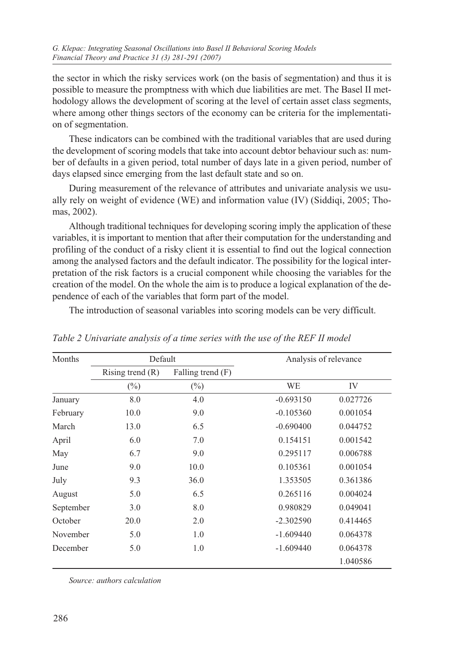the sector in which the risky services work (on the basis of segmentation) and thus it is possible to measure the promptness with which due liabilities are met. The Basel II methodology allows the development of scoring at the level of certain asset class segments, where among other things sectors of the economy can be criteria for the implementation of segmentation.

These indicators can be combined with the traditional variables that are used during the development of scoring models that take into account debtor behaviour such as: number of defaults in a given period, total number of days late in a given period, number of days elapsed since emerging from the last default state and so on.

During measurement of the relevance of attributes and univariate analysis we usually rely on weight of evidence (WE) and information value (IV) (Siddiqi, 2005; Thomas, 2002).

Although traditional techniques for developing scoring imply the application of these variables, it is important to mention that after their computation for the understanding and profiling of the conduct of a risky client it is essential to find out the logical connection among the analysed factors and the default indicator. The possibility for the logical interpretation of the risk factors is a crucial component while choosing the variables for the creation of the model. On the whole the aim is to produce a logical explanation of the dependence of each of the variables that form part of the model.

The introduction of seasonal variables into scoring models can be very difficult.

| Months    | Default            |                   | Analysis of relevance |          |
|-----------|--------------------|-------------------|-----------------------|----------|
|           | Rising trend $(R)$ | Falling trend (F) |                       |          |
|           | $(\%)$             | $(\%)$            | <b>WE</b>             | IV       |
| January   | 8.0                | 4.0               | $-0.693150$           | 0.027726 |
| February  | 10.0               | 9.0               | $-0.105360$           | 0.001054 |
| March     | 13.0               | 6.5               | $-0.690400$           | 0.044752 |
| April     | 6.0                | 7.0               | 0.154151              | 0.001542 |
| May       | 6.7                | 9.0               | 0.295117              | 0.006788 |
| June      | 9.0                | 10.0              | 0.105361              | 0.001054 |
| July      | 9.3                | 36.0              | 1.353505              | 0.361386 |
| August    | 5.0                | 6.5               | 0.265116              | 0.004024 |
| September | 3.0                | 8.0               | 0.980829              | 0.049041 |
| October   | 20.0               | 2.0               | $-2.302590$           | 0.414465 |
| November  | 5.0                | 1.0               | $-1.609440$           | 0.064378 |
| December  | 5.0                | 1.0               | $-1.609440$           | 0.064378 |
|           |                    |                   |                       | 1.040586 |

*Table 2 Univariate analysis of a time series with the use of the REF II model*

*Source: authors calculation*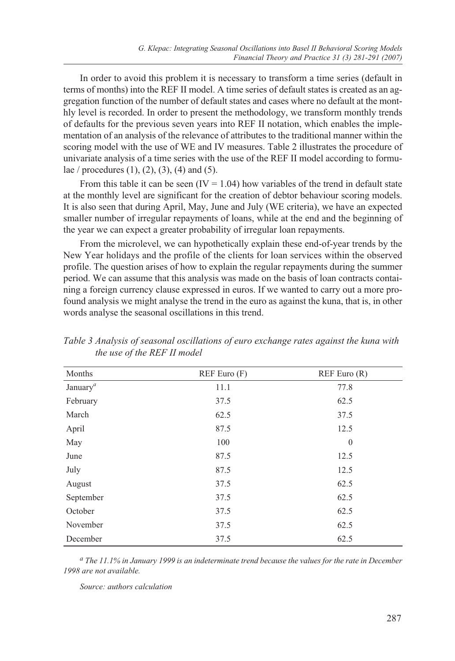In order to avoid this problem it is necessary to transform a time series (default in terms of months) into the REF II model. A time series of default states is created as an aggregation function of the number of default states and cases where no default at the monthly level is recorded. In order to present the methodology, we transform monthly trends of defaults for the previous seven years into REF II notation, which enables the implementation of an analysis of the relevance of attributes to the traditional manner within the scoring model with the use of WE and IV measures. Table 2 illustrates the procedure of univariate analysis of a time series with the use of the REF II model according to formulae / procedures  $(1)$ ,  $(2)$ ,  $(3)$ ,  $(4)$  and  $(5)$ .

From this table it can be seen  $(IV = 1.04)$  how variables of the trend in default state at the monthly level are significant for the creation of debtor behaviour scoring models. It is also seen that during April, May, June and July (WE criteria), we have an expected smaller number of irregular repayments of loans, while at the end and the beginning of the year we can expect a greater probability of irregular loan repayments.

From the microlevel, we can hypothetically explain these end-of-year trends by the New Year holidays and the profile of the clients for loan services within the observed profile. The question arises of how to explain the regular repayments during the summer period. We can assume that this analysis was made on the basis of loan contracts containing a foreign currency clause expressed in euros. If we wanted to carry out a more profound analysis we might analyse the trend in the euro as against the kuna, that is, in other words analyse the seasonal oscillations in this trend.

| Months                            | REF Euro(F) | REF Euro $(R)$ |
|-----------------------------------|-------------|----------------|
| January <sup><math>a</math></sup> | 11.1        | 77.8           |
| February                          | 37.5        | 62.5           |
| March                             | 62.5        | 37.5           |
| April                             | 87.5        | 12.5           |
| May                               | 100         | $\mathbf{0}$   |
| June                              | 87.5        | 12.5           |
| July                              | 87.5        | 12.5           |
| August                            | 37.5        | 62.5           |
| September                         | 37.5        | 62.5           |
| October                           | 37.5        | 62.5           |
| November                          | 37.5        | 62.5           |
| December                          | 37.5        | 62.5           |

*Table 3 Analysis of seasonal oscillations of euro exchange rates against the kuna with the use of the REF II model*

*a The 11.1% in January 1999 is an indeterminate trend because the values for the rate in December 1998 are not available.*

*Source: authors calculation*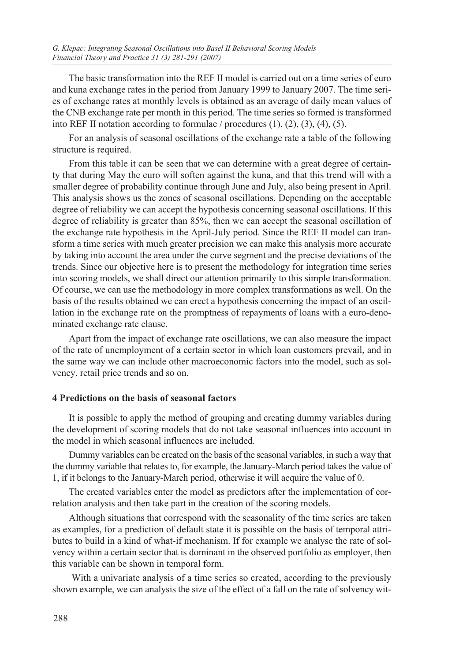The basic transformation into the REF II model is carried out on a time series of euro and kuna exchange rates in the period from January 1999 to January 2007. The time series of exchange rates at monthly levels is obtained as an average of daily mean values of the CNB exchange rate per month in this period. The time series so formed is transformed into REF II notation according to formulae  $/$  procedures  $(1)$ ,  $(2)$ ,  $(3)$ ,  $(4)$ ,  $(5)$ .

For an analysis of seasonal oscillations of the exchange rate a table of the following structure is required.

From this table it can be seen that we can determine with a great degree of certainty that during May the euro will soften against the kuna, and that this trend will with a smaller degree of probability continue through June and July, also being present in April. This analysis shows us the zones of seasonal oscillations. Depending on the acceptable degree of reliability we can accept the hypothesis concerning seasonal oscillations. If this degree of reliability is greater than 85%, then we can accept the seasonal oscillation of the exchange rate hypothesis in the April-July period. Since the REF II model can transform a time series with much greater precision we can make this analysis more accurate by taking into account the area under the curve segment and the precise deviations of the trends. Since our objective here is to present the methodology for integration time series into scoring models, we shall direct our attention primarily to this simple transformation. Of course, we can use the methodology in more complex transformations as well. On the basis of the results obtained we can erect a hypothesis concerning the impact of an oscillation in the exchange rate on the promptness of repayments of loans with a euro-denominated exchange rate clause.

Apart from the impact of exchange rate oscillations, we can also measure the impact of the rate of unemployment of a certain sector in which loan customers prevail, and in the same way we can include other macroeconomic factors into the model, such as solvency, retail price trends and so on.

#### **4 Predictions on the basis of seasonal factors**

It is possible to apply the method of grouping and creating dummy variables during the development of scoring models that do not take seasonal influences into account in the model in which seasonal influences are included.

Dummy variables can be created on the basis of the seasonal variables, in such a way that the dummy variable that relates to, for example, the January-March period takes the value of 1, if it belongs to the January-March period, otherwise it will acquire the value of 0.

The created variables enter the model as predictors after the implementation of correlation analysis and then take part in the creation of the scoring models.

Although situations that correspond with the seasonality of the time series are taken as examples, for a prediction of default state it is possible on the basis of temporal attributes to build in a kind of what-if mechanism. If for example we analyse the rate of solvency within a certain sector that is dominant in the observed portfolio as employer, then this variable can be shown in temporal form.

 With a univariate analysis of a time series so created, according to the previously shown example, we can analysis the size of the effect of a fall on the rate of solvency wit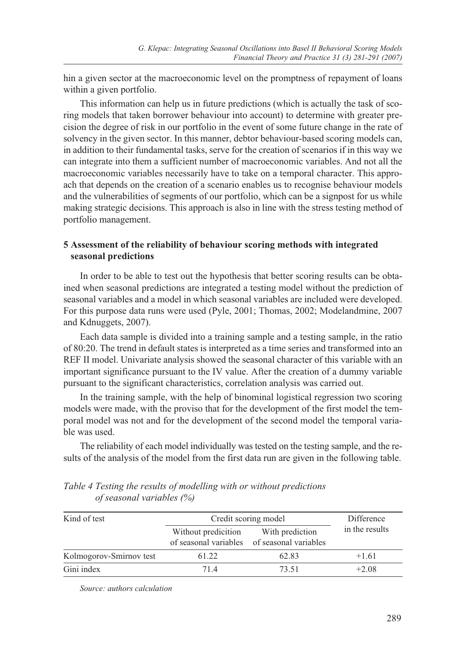hin a given sector at the macroeconomic level on the promptness of repayment of loans within a given portfolio.

This information can help us in future predictions (which is actually the task of scoring models that taken borrower behaviour into account) to determine with greater precision the degree of risk in our portfolio in the event of some future change in the rate of solvency in the given sector. In this manner, debtor behaviour-based scoring models can, in addition to their fundamental tasks, serve for the creation of scenarios if in this way we can integrate into them a sufficient number of macroeconomic variables. And not all the macroeconomic variables necessarily have to take on a temporal character. This approach that depends on the creation of a scenario enables us to recognise behaviour models and the vulnerabilities of segments of our portfolio, which can be a signpost for us while making strategic decisions. This approach is also in line with the stress testing method of portfolio management.

### **5 Assessment of the reliability of behaviour scoring methods with integrated seasonal predictions**

In order to be able to test out the hypothesis that better scoring results can be obtained when seasonal predictions are integrated a testing model without the prediction of seasonal variables and a model in which seasonal variables are included were developed. For this purpose data runs were used (Pyle, 2001; Thomas, 2002; Modelandmine, 2007 and Kdnuggets, 2007).

Each data sample is divided into a training sample and a testing sample, in the ratio of 80:20. The trend in default states is interpreted as a time series and transformed into an REF II model. Univariate analysis showed the seasonal character of this variable with an important significance pursuant to the IV value. After the creation of a dummy variable pursuant to the significant characteristics, correlation analysis was carried out.

In the training sample, with the help of binominal logistical regression two scoring models were made, with the proviso that for the development of the first model the temporal model was not and for the development of the second model the temporal variable was used.

The reliability of each model individually was tested on the testing sample, and the results of the analysis of the model from the first data run are given in the following table.

| Kind of test            | Credit scoring model |                                                                | Difference     |
|-------------------------|----------------------|----------------------------------------------------------------|----------------|
|                         | Without predicition  | With prediction<br>of seasonal variables of seasonal variables | in the results |
| Kolmogorov-Smirnov test | 61.22                | 62.83                                                          | $+1.61$        |
| Gini index              | 714                  | 73.51                                                          | $+2.08$        |

### *Table 4 Testing the results of modelling with or without predictions of seasonal variables (%)*

*Source: authors calculation*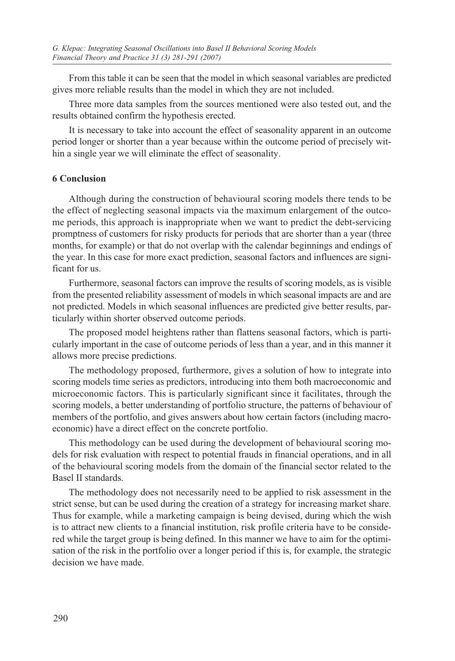From this table it can be seen that the model in which seasonal variables are predicted gives more reliable results than the model in which they are not included.

Three more data samples from the sources mentioned were also tested out, and the results obtained confirm the hypothesis erected.

It is necessary to take into account the effect of seasonality apparent in an outcome period longer or shorter than a year because within the outcome period of precisely within a single year we will eliminate the effect of seasonality.

### **6 Conclusion**

Although during the construction of behavioural scoring models there tends to be the effect of neglecting seasonal impacts via the maximum enlargement of the outcome periods, this approach is inappropriate when we want to predict the debt-servicing promptness of customers for risky products for periods that are shorter than a year (three months, for example) or that do not overlap with the calendar beginnings and endings of the year. In this case for more exact prediction, seasonal factors and influences are significant for us.

Furthermore, seasonal factors can improve the results of scoring models, as is visible from the presented reliability assessment of models in which seasonal impacts are and are not predicted. Models in which seasonal influences are predicted give better results, particularly within shorter observed outcome periods.

The proposed model heightens rather than flattens seasonal factors, which is particularly important in the case of outcome periods of less than a year, and in this manner it allows more precise predictions.

The methodology proposed, furthermore, gives a solution of how to integrate into scoring models time series as predictors, introducing into them both macroeconomic and microeconomic factors. This is particularly significant since it facilitates, through the scoring models, a better understanding of portfolio structure, the patterns of behaviour of members of the portfolio, and gives answers about how certain factors (including macroeconomic) have a direct effect on the concrete portfolio.

This methodology can be used during the development of behavioural scoring models for risk evaluation with respect to potential frauds in financial operations, and in all of the behavioural scoring models from the domain of the financial sector related to the Basel II standards.

The methodology does not necessarily need to be applied to risk assessment in the strict sense, but can be used during the creation of a strategy for increasing market share. Thus for example, while a marketing campaign is being devised, during which the wish is to attract new clients to a financial institution, risk profile criteria have to be considered while the target group is being defined. In this manner we have to aim for the optimisation of the risk in the portfolio over a longer period if this is, for example, the strategic decision we have made.